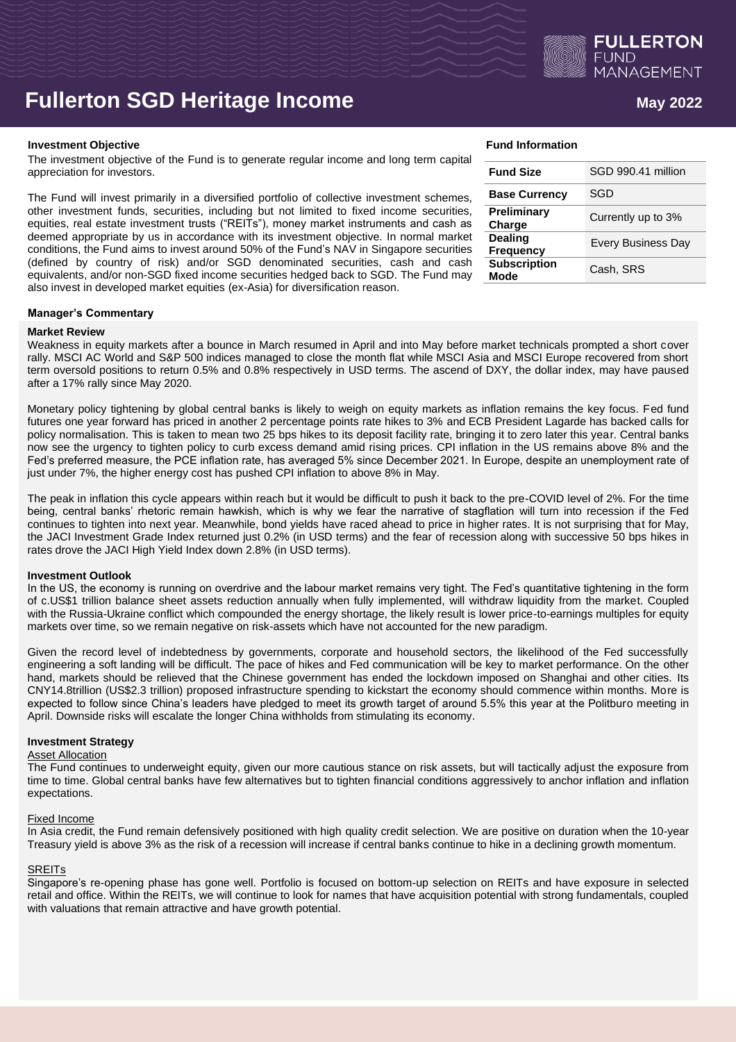

# **Fullerton SGD Heritage Income**  $M_{\text{mag 2022}}$

### **Investment Objective Fund Information**

The investment objective of the Fund is to generate regular income and long term capital appreciation for investors.

The Fund will invest primarily in a diversified portfolio of collective investment schemes, other investment funds, securities, including but not limited to fixed income securities, equities, real estate investment trusts ("REITs"), money market instruments and cash as deemed appropriate by us in accordance with its investment objective. In normal market conditions, the Fund aims to invest around 50% of the Fund's NAV in Singapore securities (defined by country of risk) and/or SGD denominated securities, cash and cash equivalents, and/or non-SGD fixed income securities hedged back to SGD. The Fund may also invest in developed market equities (ex-Asia) for diversification reason.

# **Manager's Commentary**

### **Market Review**

Weakness in equity markets after a bounce in March resumed in April and into May before market technicals prompted a short cover rally. MSCI AC World and S&P 500 indices managed to close the month flat while MSCI Asia and MSCI Europe recovered from short term oversold positions to return 0.5% and 0.8% respectively in USD terms. The ascend of DXY, the dollar index, may have paused after a 17% rally since May 2020.

Monetary policy tightening by global central banks is likely to weigh on equity markets as inflation remains the key focus. Fed fund futures one year forward has priced in another 2 percentage points rate hikes to 3% and ECB President Lagarde has backed calls for policy normalisation. This is taken to mean two 25 bps hikes to its deposit facility rate, bringing it to zero later this year. Central banks now see the urgency to tighten policy to curb excess demand amid rising prices. CPI inflation in the US remains above 8% and the Fed's preferred measure, the PCE inflation rate, has averaged 5% since December 2021. In Europe, despite an unemployment rate of just under 7%, the higher energy cost has pushed CPI inflation to above 8% in May.

The peak in inflation this cycle appears within reach but it would be difficult to push it back to the pre-COVID level of 2%. For the time being, central banks' rhetoric remain hawkish, which is why we fear the narrative of stagflation will turn into recession if the Fed continues to tighten into next year. Meanwhile, bond yields have raced ahead to price in higher rates. It is not surprising that for May, the JACI Investment Grade Index returned just 0.2% (in USD terms) and the fear of recession along with successive 50 bps hikes in rates drove the JACI High Yield Index down 2.8% (in USD terms).

### **Investment Outlook**

In the US, the economy is running on overdrive and the labour market remains very tight. The Fed's quantitative tightening in the form of c.US\$1 trillion balance sheet assets reduction annually when fully implemented, will withdraw liquidity from the market. Coupled with the Russia-Ukraine conflict which compounded the energy shortage, the likely result is lower price-to-earnings multiples for equity markets over time, so we remain negative on risk-assets which have not accounted for the new paradigm.

Given the record level of indebtedness by governments, corporate and household sectors, the likelihood of the Fed successfully engineering a soft landing will be difficult. The pace of hikes and Fed communication will be key to market performance. On the other hand, markets should be relieved that the Chinese government has ended the lockdown imposed on Shanghai and other cities. Its CNY14.8trillion (US\$2.3 trillion) proposed infrastructure spending to kickstart the economy should commence within months. More is expected to follow since China's leaders have pledged to meet its growth target of around 5.5% this year at the Politburo meeting in April. Downside risks will escalate the longer China withholds from stimulating its economy.

### **Investment Strategy**

# **Asset Allocation**

The Fund continues to underweight equity, given our more cautious stance on risk assets, but will tactically adjust the exposure from time to time. Global central banks have few alternatives but to tighten financial conditions aggressively to anchor inflation and inflation expectations.

### Fixed Income

In Asia credit, the Fund remain defensively positioned with high quality credit selection. We are positive on duration when the 10-year Treasury yield is above 3% as the risk of a recession will increase if central banks continue to hike in a declining growth momentum.

# **SREITs**

Singapore's re-opening phase has gone well. Portfolio is focused on bottom-up selection on REITs and have exposure in selected retail and office. Within the REITs, we will continue to look for names that have acquisition potential with strong fundamentals, coupled with valuations that remain attractive and have growth potential.

| <b>Fund Size</b>                   | SGD 990.41 million        |
|------------------------------------|---------------------------|
| <b>Base Currency</b>               | SGD                       |
| Preliminary<br>Charge              | Currently up to 3%        |
| <b>Dealing</b><br><b>Frequency</b> | <b>Every Business Day</b> |
| <b>Subscription</b><br>Mode        | Cash, SRS                 |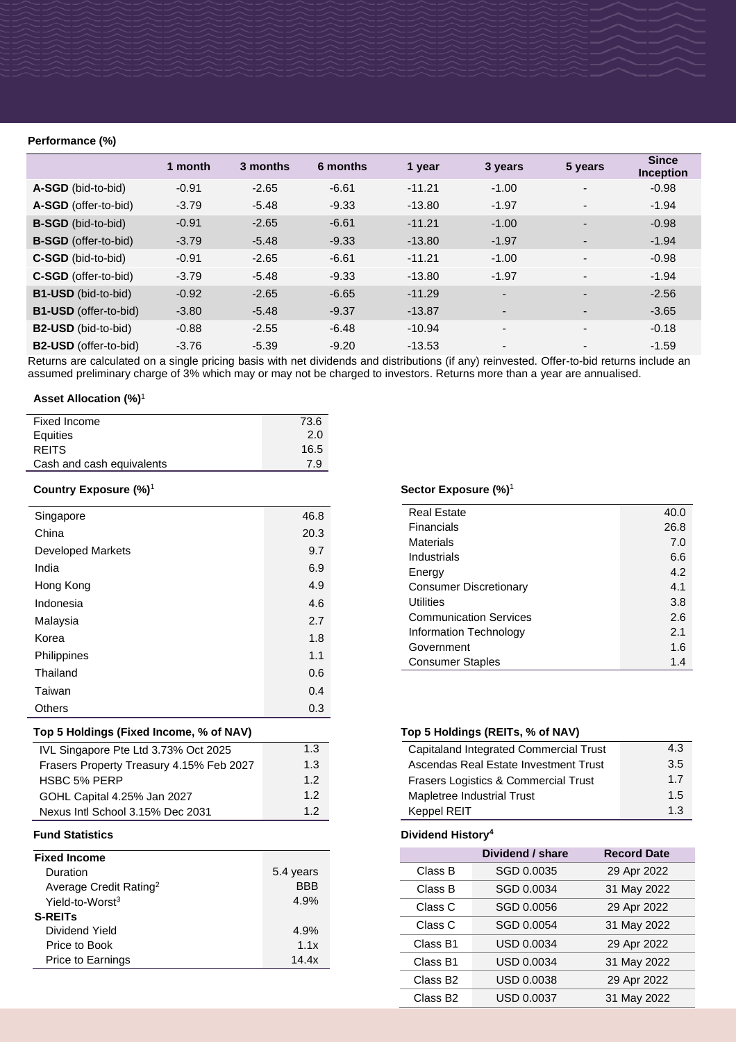# **Performance (%)**

|                              | 1 month | 3 months | 6 months | 1 year   | 3 years                  | 5 years                  | <b>Since</b><br><b>Inception</b> |
|------------------------------|---------|----------|----------|----------|--------------------------|--------------------------|----------------------------------|
| A-SGD (bid-to-bid)           | $-0.91$ | $-2.65$  | $-6.61$  | $-11.21$ | $-1.00$                  |                          | $-0.98$                          |
| A-SGD (offer-to-bid)         | $-3.79$ | $-5.48$  | $-9.33$  | $-13.80$ | $-1.97$                  |                          | $-1.94$                          |
| <b>B-SGD</b> (bid-to-bid)    | $-0.91$ | $-2.65$  | $-6.61$  | $-11.21$ | $-1.00$                  |                          | $-0.98$                          |
| <b>B-SGD</b> (offer-to-bid)  | $-3.79$ | $-5.48$  | $-9.33$  | $-13.80$ | $-1.97$                  |                          | $-1.94$                          |
| C-SGD (bid-to-bid)           | $-0.91$ | $-2.65$  | $-6.61$  | $-11.21$ | $-1.00$                  |                          | $-0.98$                          |
| C-SGD (offer-to-bid)         | $-3.79$ | $-5.48$  | $-9.33$  | $-13.80$ | $-1.97$                  | $\overline{\phantom{a}}$ | $-1.94$                          |
| <b>B1-USD</b> (bid-to-bid)   | $-0.92$ | $-2.65$  | $-6.65$  | $-11.29$ |                          |                          | $-2.56$                          |
| <b>B1-USD</b> (offer-to-bid) | $-3.80$ | $-5.48$  | $-9.37$  | $-13.87$ |                          |                          | $-3.65$                          |
| <b>B2-USD</b> (bid-to-bid)   | $-0.88$ | $-2.55$  | $-6.48$  | $-10.94$ | $\overline{\phantom{0}}$ |                          | $-0.18$                          |
| B2-USD (offer-to-bid)        | $-3.76$ | $-5.39$  | $-9.20$  | $-13.53$ |                          |                          | $-1.59$                          |

Returns are calculated on a single pricing basis with net dividends and distributions (if any) reinvested. Offer-to-bid returns include an assumed preliminary charge of 3% which may or may not be charged to investors. Returns more than a year are annualised.

# **Asset Allocation (%)**<sup>1</sup>

| Fixed Income              | 73.6 |
|---------------------------|------|
| Equities                  | 2.0  |
| <b>REITS</b>              | 16.5 |
| Cash and cash equivalents | 7.9  |

# **Country Exposure (%)**<sup>1</sup>

| Singapore                | 46.8 |
|--------------------------|------|
| China                    | 20.3 |
| <b>Developed Markets</b> | 9.7  |
| India                    | 6.9  |
| Hong Kong                | 4.9  |
| Indonesia                | 4.6  |
| Malaysia                 | 2.7  |
| Korea                    | 1.8  |
| Philippines              | 1.1  |
| Thailand                 | 0.6  |
| Taiwan                   | 0.4  |
| <b>Others</b>            | 0.3  |

# **Top 5 Holdings (Fixed Income, % of NAV) Top 5 Holdings (REITs, % of NAV)**

| IVL Singapore Pte Ltd 3.73% Oct 2025     | 1.3 |
|------------------------------------------|-----|
| Frasers Property Treasury 4.15% Feb 2027 | 1.3 |
| <b>HSBC 5% PERP</b>                      | 12  |
| GOHL Capital 4.25% Jan 2027              | 12  |
| Nexus Intl School 3.15% Dec 2031         | 12  |

| <b>Fixed Income</b>                |            |
|------------------------------------|------------|
| Duration                           | 5.4 years  |
| Average Credit Rating <sup>2</sup> | <b>BBB</b> |
| Yield-to-Worst <sup>3</sup>        | 4.9%       |
| <b>S-REITS</b>                     |            |
| Dividend Yield                     | 4.9%       |
| Price to Book                      | 1.1x       |
| Price to Earnings                  | 14 4x      |

# **Sector Exposure (%)**<sup>1</sup>

| <b>Real Estate</b>            | 40.0 |
|-------------------------------|------|
| Financials                    | 26.8 |
| Materials                     | 7.0  |
| Industrials                   | 6.6  |
| Energy                        | 4.2  |
| <b>Consumer Discretionary</b> | 4.1  |
| Utilities                     | 3.8  |
| <b>Communication Services</b> | 2.6  |
| Information Technology        | 2.1  |
| Government                    | 1.6  |
| <b>Consumer Staples</b>       | 1.4  |

| Capitaland Integrated Commercial Trust | 4.3 |
|----------------------------------------|-----|
| Ascendas Real Estate Investment Trust  | 3.5 |
| Frasers Logistics & Commercial Trust   | 1.7 |
| Mapletree Industrial Trust             | 1.5 |
| Keppel REIT                            | 1.3 |

# **Fund Statistics Dividend History<sup>4</sup>**

|                      | Dividend / share  | <b>Record Date</b> |
|----------------------|-------------------|--------------------|
| Class B              | SGD 0.0035        | 29 Apr 2022        |
| Class B              | SGD 0.0034        | 31 May 2022        |
| Class C              | SGD 0.0056        | 29 Apr 2022        |
| Class C              | SGD 0.0054        | 31 May 2022        |
| Class B1             | <b>USD 0.0034</b> | 29 Apr 2022        |
| Class B1             | <b>USD 0.0034</b> | 31 May 2022        |
| Class B <sub>2</sub> | <b>USD 0.0038</b> | 29 Apr 2022        |
| Class B <sub>2</sub> | USD 0.0037        | 31 May 2022        |